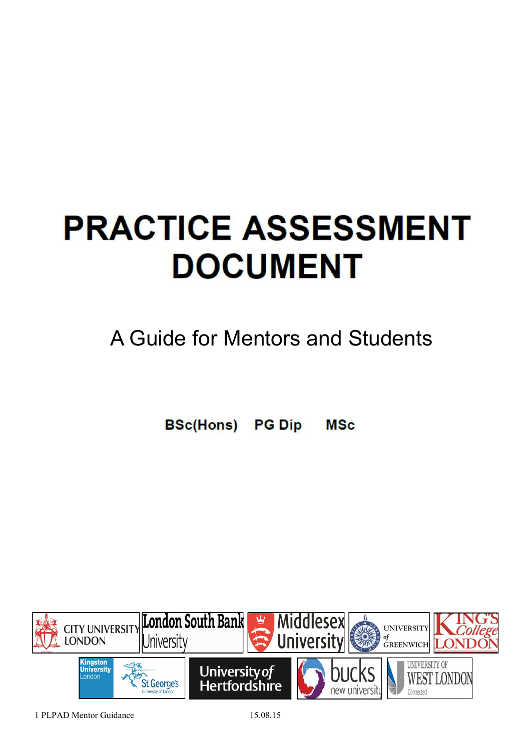# **PRACTICE ASSESSMENT DOCUMENT**

## A Guide for Mentors and Students

**BSc(Hons) PG Dip MSc** 

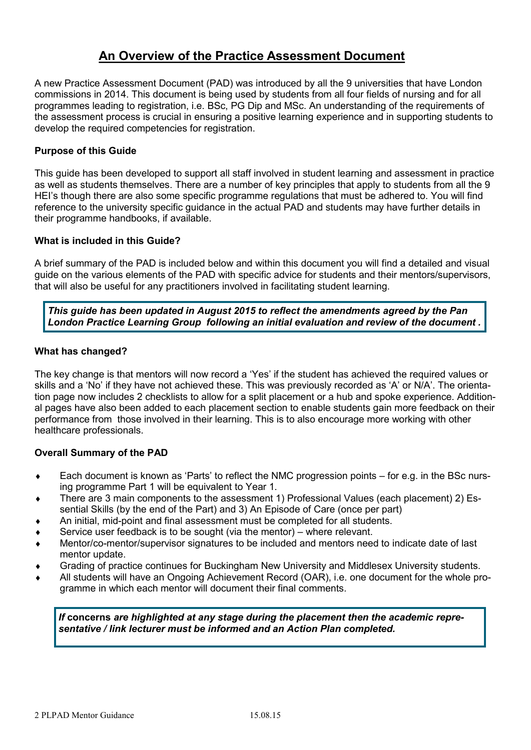## **An Overview of the Practice Assessment Document**

A new Practice Assessment Document (PAD) was introduced by all the 9 universities that have London commissions in 2014. This document is being used by students from all four fields of nursing and for all programmes leading to registration, i.e. BSc, PG Dip and MSc. An understanding of the requirements of the assessment process is crucial in ensuring a positive learning experience and in supporting students to develop the required competencies for registration.

#### **Purpose of this Guide**

This guide has been developed to support all staff involved in student learning and assessment in practice as well as students themselves. There are a number of key principles that apply to students from all the 9 HEI's though there are also some specific programme regulations that must be adhered to. You will find reference to the university specific guidance in the actual PAD and students may have further details in their programme handbooks, if available.

#### **What is included in this Guide?**

A brief summary of the PAD is included below and within this document you will find a detailed and visual guide on the various elements of the PAD with specific advice for students and their mentors/supervisors, that will also be useful for any practitioners involved in facilitating student learning.

*This guide has been updated in August 2015 to reflect the amendments agreed by the Pan London Practice Learning Group following an initial evaluation and review of the document .*

#### **What has changed?**

The key change is that mentors will now record a 'Yes' if the student has achieved the required values or skills and a 'No' if they have not achieved these. This was previously recorded as 'A' or N/A'. The orientation page now includes 2 checklists to allow for a split placement or a hub and spoke experience. Additional pages have also been added to each placement section to enable students gain more feedback on their performance from those involved in their learning. This is to also encourage more working with other healthcare professionals.

#### **Overall Summary of the PAD**

- Each document is known as 'Parts' to reflect the NMC progression points for e.g. in the BSc nursing programme Part 1 will be equivalent to Year 1.
- There are 3 main components to the assessment 1) Professional Values (each placement) 2) Essential Skills (by the end of the Part) and 3) An Episode of Care (once per part)
- An initial, mid-point and final assessment must be completed for all students.
- Service user feedback is to be sought (via the mentor) where relevant.
- Mentor/co-mentor/supervisor signatures to be included and mentors need to indicate date of last mentor update.
- Grading of practice continues for Buckingham New University and Middlesex University students.
- All students will have an Ongoing Achievement Record (OAR), i.e. one document for the whole programme in which each mentor will document their final comments.

*If* **concerns** *are highlighted at any stage during the placement then the academic representative / link lecturer must be informed and an Action Plan completed.*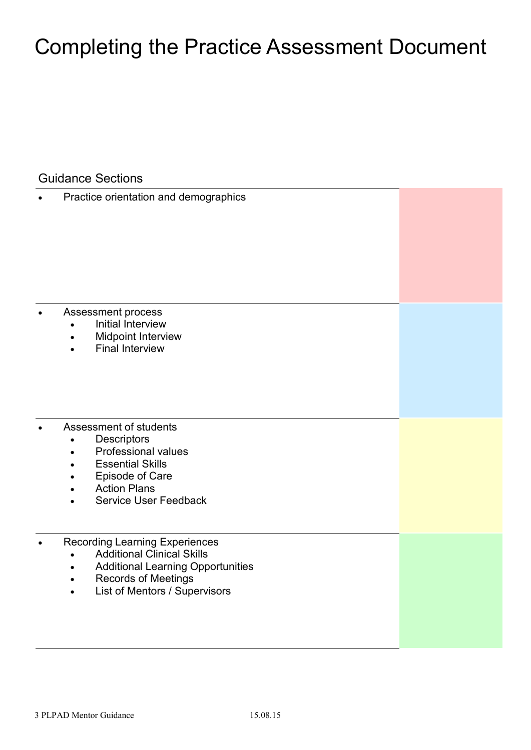## Completing the Practice Assessment Document

Guidance Sections

Practice orientation and demographics

- Assessment process
	- Initial Interview
	- Midpoint Interview
	- Final Interview
- Assessment of students
	- Descriptors
	- Professional values
	- Essential Skills
	- Episode of Care
	- Action Plans
	- Service User Feedback
- Recording Learning Experiences
	- Additional Clinical Skills
	- Additional Learning Opportunities
	- Records of Meetings
	- List of Mentors / Supervisors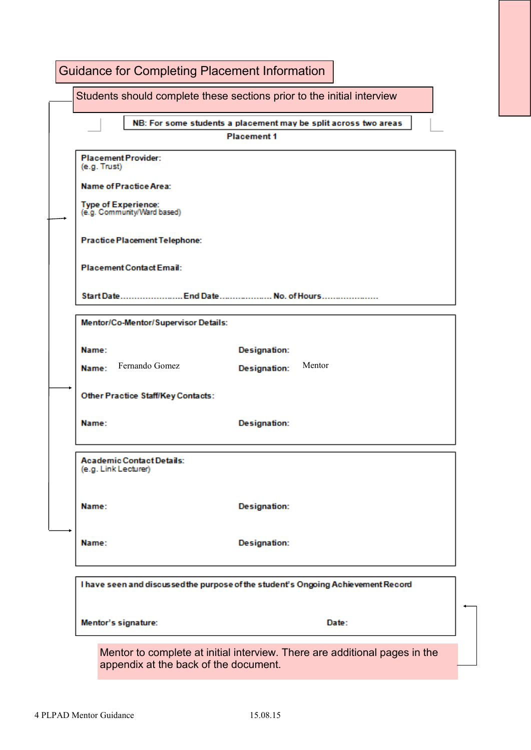|                                                          | Students should complete these sections prior to the initial interview            |
|----------------------------------------------------------|-----------------------------------------------------------------------------------|
|                                                          | NB: For some students a placement may be split across two areas                   |
|                                                          | <b>Placement 1</b>                                                                |
| <b>Placement Provider:</b><br>(e.g. Trust)               |                                                                                   |
| Name of Practice Area:                                   |                                                                                   |
| Type of Experience:<br>(e.g. Community/Ward based)       |                                                                                   |
| <b>Practice Placement Telephone:</b>                     |                                                                                   |
| <b>Placement Contact Email:</b>                          |                                                                                   |
|                                                          | Start Date End Date No. of Hours                                                  |
| Mentor/Co-Mentor/Supervisor Details:                     |                                                                                   |
| Name:                                                    | <b>Designation:</b>                                                               |
| Fernando Gomez<br>Name:                                  | Mentor<br><b>Designation:</b>                                                     |
| <b>Other Practice Staff/Key Contacts:</b>                |                                                                                   |
| Name:                                                    | <b>Designation:</b>                                                               |
| <b>Academic Contact Details:</b><br>(e.g. Link Lecturer) |                                                                                   |
| Name:                                                    | <b>Designation:</b>                                                               |
| Name:                                                    | <b>Designation:</b>                                                               |
|                                                          | I have seen and discussed the purpose of the student's Ongoing Achievement Record |
| Mentor's signature:                                      | Date:                                                                             |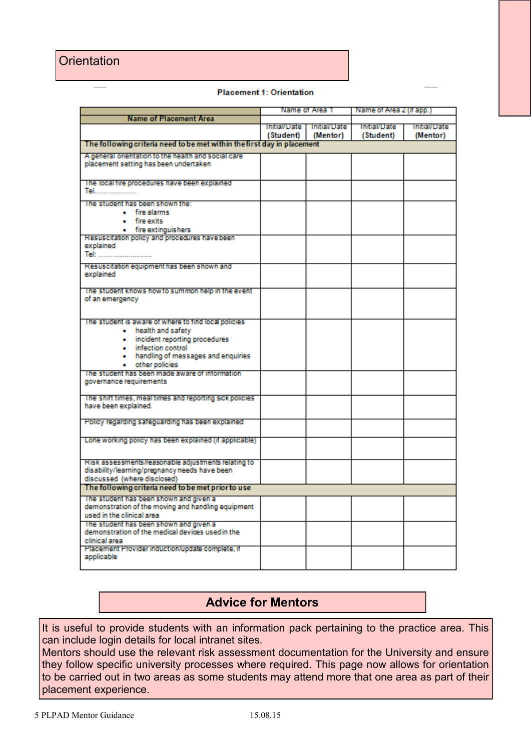### **Orientation**

|  | <b>Placement 1: Orientation</b> |
|--|---------------------------------|
|  |                                 |

|                                                                                            |           | Name of Area 1                          | Name of Area 2 (if app.)         |                                 |
|--------------------------------------------------------------------------------------------|-----------|-----------------------------------------|----------------------------------|---------------------------------|
| <b>Name of Placement Area</b>                                                              |           |                                         |                                  |                                 |
|                                                                                            | (Student) | Initial/Date   Initial/Date<br>(Mentor) | <b>Initial/Date</b><br>(Student) | <b>Initial/Date</b><br>(Mentor) |
| The following criteria need to be met within the first day in placement                    |           |                                         |                                  |                                 |
| A general orientation to the health and social care                                        |           |                                         |                                  |                                 |
| placement setting has been undertaken                                                      |           |                                         |                                  |                                 |
|                                                                                            |           |                                         |                                  |                                 |
| The local fire procedures have been explained                                              |           |                                         |                                  |                                 |
| <u>Tel</u>                                                                                 |           |                                         |                                  |                                 |
| The student has been shown the:                                                            |           |                                         |                                  |                                 |
| • fire alarms                                                                              |           |                                         |                                  |                                 |
| · fire exits                                                                               |           |                                         |                                  |                                 |
| • fire extinguishers                                                                       |           |                                         |                                  |                                 |
| Resuscitation policy and procedures have been<br>explained                                 |           |                                         |                                  |                                 |
| Tel:                                                                                       |           |                                         |                                  |                                 |
|                                                                                            |           |                                         |                                  |                                 |
| Resuscitation equipment has been shown and                                                 |           |                                         |                                  |                                 |
| explained                                                                                  |           |                                         |                                  |                                 |
| The student knows how to summon help in the event                                          |           |                                         |                                  |                                 |
| of an emergency                                                                            |           |                                         |                                  |                                 |
|                                                                                            |           |                                         |                                  |                                 |
|                                                                                            |           |                                         |                                  |                                 |
| The student is aware of where to find local policies<br>• health and safety                |           |                                         |                                  |                                 |
| · incident reporting procedures                                                            |           |                                         |                                  |                                 |
| . infection control                                                                        |           |                                         |                                  |                                 |
| • handling of messages and enquiries                                                       |           |                                         |                                  |                                 |
| other policies                                                                             |           |                                         |                                  |                                 |
| The student has been made aware of information                                             |           |                                         |                                  |                                 |
| governance requirements                                                                    |           |                                         |                                  |                                 |
|                                                                                            |           |                                         |                                  |                                 |
| The shift times, meal times and reporting sick policies.<br>have been explained.           |           |                                         |                                  |                                 |
|                                                                                            |           |                                         |                                  |                                 |
| Policy regarding safeguarding has been explained                                           |           |                                         |                                  |                                 |
|                                                                                            |           |                                         |                                  |                                 |
| Lone working policy has been explained (if applicable)                                     |           |                                         |                                  |                                 |
|                                                                                            |           |                                         |                                  |                                 |
| Risk assessments/reasonable adjustments relating to                                        |           |                                         |                                  |                                 |
| disability/learning/pregnancy needs have been                                              |           |                                         |                                  |                                 |
| discussed (where disclosed)                                                                |           |                                         |                                  |                                 |
| The following criteria need to be met prior to use                                         |           |                                         |                                  |                                 |
| The student has been shown and given a                                                     |           |                                         |                                  |                                 |
| demonstration of the moving and handling equipment                                         |           |                                         |                                  |                                 |
| used in the clinical area                                                                  |           |                                         |                                  |                                 |
| The student has been shown and given a<br>demonstration of the medical devices used in the |           |                                         |                                  |                                 |
| clinical area                                                                              |           |                                         |                                  |                                 |
| Placement Provider induction/update complete, if                                           |           |                                         |                                  |                                 |
| applicable                                                                                 |           |                                         |                                  |                                 |
|                                                                                            |           |                                         |                                  |                                 |

## **Advice for Mentors**

It is useful to provide students with an information pack pertaining to the practice area. This can include login details for local intranet sites.

Mentors should use the relevant risk assessment documentation for the University and ensure they follow specific university processes where required. This page now allows for orientation to be carried out in two areas as some students may attend more that one area as part of their placement experience.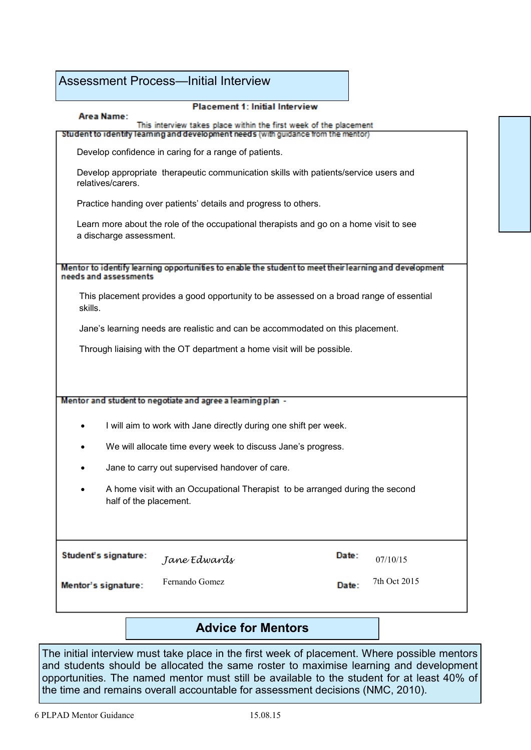|                                                                                                        | <b>Assessment Process—Initial Interview</b>                                                                                                             |       |              |  |  |  |
|--------------------------------------------------------------------------------------------------------|---------------------------------------------------------------------------------------------------------------------------------------------------------|-------|--------------|--|--|--|
| Area Name:                                                                                             | <b>Placement 1: Initial Interview</b>                                                                                                                   |       |              |  |  |  |
|                                                                                                        | This interview takes place within the first week of the placement<br>Student to identify learning and development needs (with guidance from the mentor) |       |              |  |  |  |
|                                                                                                        | Develop confidence in caring for a range of patients.                                                                                                   |       |              |  |  |  |
| relatives/carers.                                                                                      | Develop appropriate therapeutic communication skills with patients/service users and                                                                    |       |              |  |  |  |
|                                                                                                        | Practice handing over patients' details and progress to others.                                                                                         |       |              |  |  |  |
| a discharge assessment.                                                                                | Learn more about the role of the occupational therapists and go on a home visit to see                                                                  |       |              |  |  |  |
| needs and assessments                                                                                  | Mentor to identify learning opportunities to enable the student to meet their learning and development                                                  |       |              |  |  |  |
| skills.                                                                                                | This placement provides a good opportunity to be assessed on a broad range of essential                                                                 |       |              |  |  |  |
|                                                                                                        | Jane's learning needs are realistic and can be accommodated on this placement.                                                                          |       |              |  |  |  |
| Through liaising with the OT department a home visit will be possible.                                 |                                                                                                                                                         |       |              |  |  |  |
|                                                                                                        |                                                                                                                                                         |       |              |  |  |  |
|                                                                                                        | Mentor and student to negotiate and agree a learning plan -                                                                                             |       |              |  |  |  |
|                                                                                                        | I will aim to work with Jane directly during one shift per week.                                                                                        |       |              |  |  |  |
|                                                                                                        | We will allocate time every week to discuss Jane's progress.                                                                                            |       |              |  |  |  |
|                                                                                                        | Jane to carry out supervised handover of care.                                                                                                          |       |              |  |  |  |
| A home visit with an Occupational Therapist to be arranged during the second<br>half of the placement. |                                                                                                                                                         |       |              |  |  |  |
|                                                                                                        |                                                                                                                                                         |       |              |  |  |  |
| Student's signature:                                                                                   | Jane Edwards                                                                                                                                            | Date: | 07/10/15     |  |  |  |
| Mentor's signature:                                                                                    | Fernando Gomez                                                                                                                                          | Date: | 7th Oct 2015 |  |  |  |
|                                                                                                        |                                                                                                                                                         |       |              |  |  |  |

## **Advice for Mentors**

The initial interview must take place in the first week of placement. Where possible mentors and students should be allocated the same roster to maximise learning and development opportunities. The named mentor must still be available to the student for at least 40% of the time and remains overall accountable for assessment decisions (NMC, 2010).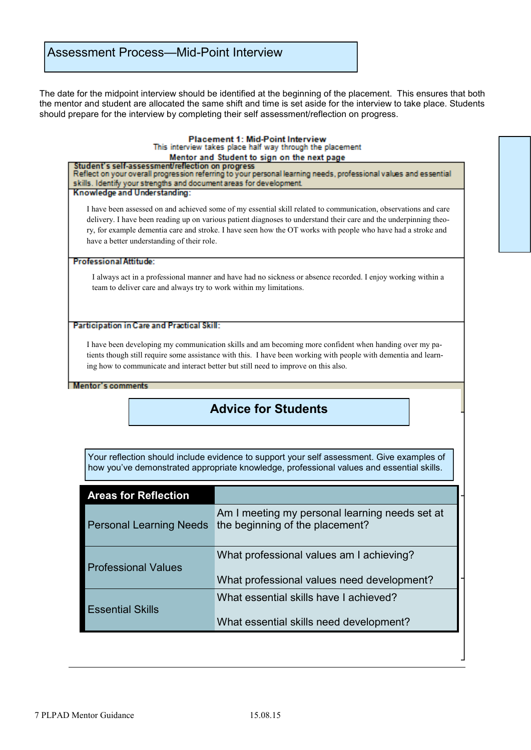The date for the midpoint interview should be identified at the beginning of the placement. This ensures that both the mentor and student are allocated the same shift and time is set aside for the interview to take place. Students should prepare for the interview by completing their self assessment/reflection on progress.

#### **Placement 1: Mid-Point Interview** This interview takes place half way through the placement Mentor and Student to sign on the next page

Student's self-assessment/reflection on progress Reflect on your overall progression referring to your personal learning needs, professional values and essential skills. Identify your strengths and document areas for development.

Knowledge and Understanding:

I have been assessed on and achieved some of my essential skill related to communication, observations and care delivery. I have been reading up on various patient diagnoses to understand their care and the underpinning theory, for example dementia care and stroke. I have seen how the OT works with people who have had a stroke and have a better understanding of their role.

#### **Professional Attitude:**

I always act in a professional manner and have had no sickness or absence recorded. I enjoy working within a team to deliver care and always try to work within my limitations.

#### Participation in Care and Practical Skill:

I have been developing my communication skills and am becoming more confident when handing over my patients though still require some assistance with this. I have been working with people with dementia and learning how to communicate and interact better but still need to improve on this also.

#### Mentor's comments

## **Advice for Students**

how you've demonstrated appropriate knowledge, professional values and essential skills. Your reflection should include evidence to support your self assessment. Give examples of

| <b>Areas for Reflection</b>    |                                                                                        |
|--------------------------------|----------------------------------------------------------------------------------------|
| <b>Personal Learning Needs</b> | Am I meeting my personal learning needs set at<br>the beginning of the placement?      |
| <b>Professional Values</b>     | What professional values am I achieving?<br>What professional values need development? |
| <b>Essential Skills</b>        | What essential skills have I achieved?<br>What essential skills need development?      |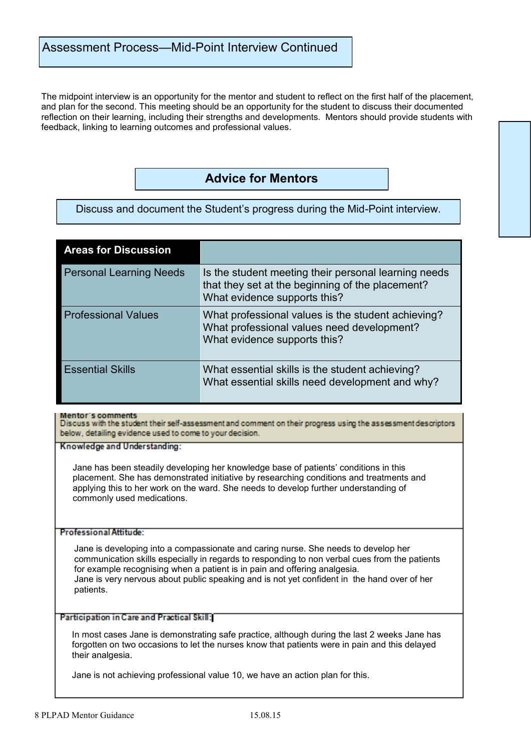The midpoint interview is an opportunity for the mentor and student to reflect on the first half of the placement, and plan for the second. This meeting should be an opportunity for the student to discuss their documented reflection on their learning, including their strengths and developments. Mentors should provide students with feedback, linking to learning outcomes and professional values.

## **Advice for Mentors**

Discuss and document the Student's progress during the Mid-Point interview.

| <b>Areas for Discussion</b>    |                                                                                                                                          |
|--------------------------------|------------------------------------------------------------------------------------------------------------------------------------------|
| <b>Personal Learning Needs</b> | Is the student meeting their personal learning needs<br>that they set at the beginning of the placement?<br>What evidence supports this? |
| <b>Professional Values</b>     | What professional values is the student achieving?<br>What professional values need development?<br>What evidence supports this?         |
| <b>Essential Skills</b>        | What essential skills is the student achieving?<br>What essential skills need development and why?                                       |

#### **Mentor's comments**

Discuss with the student their self-assessment and comment on their progress using the assessment descriptors below, detailing evidence used to come to your decision.

Knowledge and Understanding:

Jane has been steadily developing her knowledge base of patients' conditions in this placement. She has demonstrated initiative by researching conditions and treatments and applying this to her work on the ward. She needs to develop further understanding of commonly used medications.

#### **Professional Attitude:**

Jane is developing into a compassionate and caring nurse. She needs to develop her communication skills especially in regards to responding to non verbal cues from the patients for example recognising when a patient is in pain and offering analgesia. Jane is very nervous about public speaking and is not yet confident in the hand over of her patients.

#### Participation in Care and Practical Skill:

In most cases Jane is demonstrating safe practice, although during the last 2 weeks Jane has forgotten on two occasions to let the nurses know that patients were in pain and this delayed their analgesia.

Jane is not achieving professional value 10, we have an action plan for this.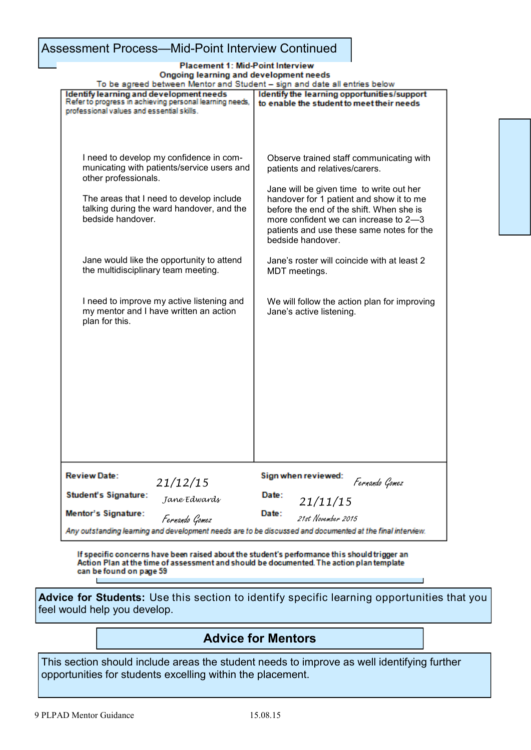## Assessment Process—Mid-Point Interview Continued

#### **Placement 1: Mid-Point Interview** Ongoing learning and development needs

| To be agreed between Mentor and Student – sign and date all entries below                                 |                                                                                          |
|-----------------------------------------------------------------------------------------------------------|------------------------------------------------------------------------------------------|
| Identify learning and development needs<br>Refer to progress in achieving personal learning needs,        | Identify the learning opportunities/support<br>to enable the student to meet their needs |
| professional values and essential skills.                                                                 |                                                                                          |
|                                                                                                           |                                                                                          |
|                                                                                                           |                                                                                          |
|                                                                                                           |                                                                                          |
| I need to develop my confidence in com-                                                                   | Observe trained staff communicating with                                                 |
| municating with patients/service users and                                                                | patients and relatives/carers.                                                           |
| other professionals.                                                                                      |                                                                                          |
|                                                                                                           | Jane will be given time to write out her                                                 |
| The areas that I need to develop include<br>talking during the ward handover, and the                     | handover for 1 patient and show it to me<br>before the end of the shift. When she is     |
| bedside handover.                                                                                         | more confident we can increase to 2-3                                                    |
|                                                                                                           | patients and use these same notes for the                                                |
|                                                                                                           | bedside handover.                                                                        |
|                                                                                                           |                                                                                          |
| Jane would like the opportunity to attend                                                                 | Jane's roster will coincide with at least 2                                              |
| the multidisciplinary team meeting.                                                                       | MDT meetings.                                                                            |
|                                                                                                           |                                                                                          |
| I need to improve my active listening and                                                                 | We will follow the action plan for improving                                             |
| my mentor and I have written an action                                                                    | Jane's active listening.                                                                 |
| plan for this.                                                                                            |                                                                                          |
|                                                                                                           |                                                                                          |
|                                                                                                           |                                                                                          |
|                                                                                                           |                                                                                          |
|                                                                                                           |                                                                                          |
|                                                                                                           |                                                                                          |
|                                                                                                           |                                                                                          |
|                                                                                                           |                                                                                          |
|                                                                                                           |                                                                                          |
|                                                                                                           |                                                                                          |
|                                                                                                           |                                                                                          |
|                                                                                                           |                                                                                          |
|                                                                                                           |                                                                                          |
| <b>Review Date:</b><br>21/12/15                                                                           | Sign when reviewed:<br>Fernando Gomez                                                    |
| Student's Signature:<br>Jane Edwards                                                                      | Date:                                                                                    |
|                                                                                                           | 21/11/15                                                                                 |
| <b>Mentor's Signature:</b><br>Fernando Gomez                                                              | Date:<br>21st November 2015                                                              |
| Any outstanding learning and development needs are to be discussed and documented at the final interview. |                                                                                          |

If specific concerns have been raised about the student's performance this should trigger an Action Plan at the time of assessment and should be documented. The action plan template can be found on page 59

**Advice for Students:** Use this section to identify specific learning opportunities that you feel would help you develop.

## **Advice for Mentors**

This section should include areas the student needs to improve as well identifying further opportunities for students excelling within the placement.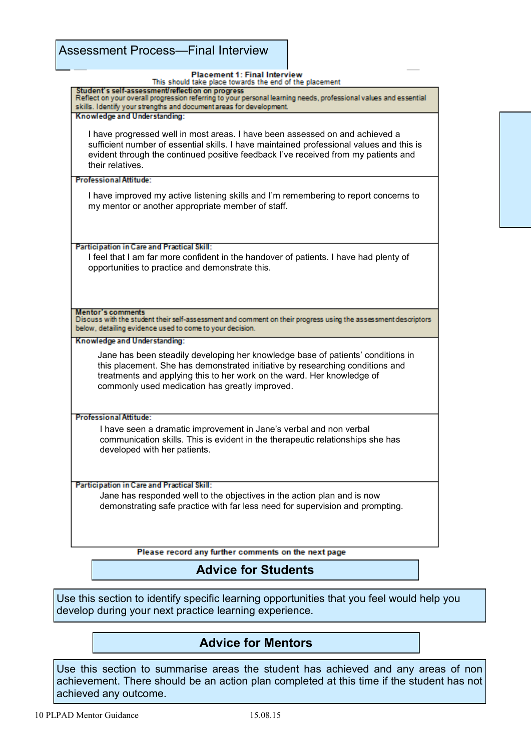| <b>Placement 1: Final Interview</b><br>This should take place towards the end of the placement                                                                                                                                                                                               |  |
|----------------------------------------------------------------------------------------------------------------------------------------------------------------------------------------------------------------------------------------------------------------------------------------------|--|
| Student's self-assessment/reflection on progress<br>Reflect on your overall progression referring to your personal learning needs, professional values and essential                                                                                                                         |  |
| skills. Identify your strengths and document areas for development.                                                                                                                                                                                                                          |  |
| Knowledge and Understanding:                                                                                                                                                                                                                                                                 |  |
| I have progressed well in most areas. I have been assessed on and achieved a<br>sufficient number of essential skills. I have maintained professional values and this is<br>evident through the continued positive feedback I've received from my patients and<br>their relatives.           |  |
|                                                                                                                                                                                                                                                                                              |  |
| <b>Professional Attitude:</b>                                                                                                                                                                                                                                                                |  |
| I have improved my active listening skills and I'm remembering to report concerns to<br>my mentor or another appropriate member of staff.                                                                                                                                                    |  |
| Participation in Care and Practical Skill:                                                                                                                                                                                                                                                   |  |
| I feel that I am far more confident in the handover of patients. I have had plenty of<br>opportunities to practice and demonstrate this.                                                                                                                                                     |  |
| Mentor's comments                                                                                                                                                                                                                                                                            |  |
| Discuss with the student their self-assessment and comment on their progress using the assessment descriptors<br>below, detailing evidence used to come to your decision.                                                                                                                    |  |
| Knowledge and Understanding:                                                                                                                                                                                                                                                                 |  |
| Jane has been steadily developing her knowledge base of patients' conditions in<br>this placement. She has demonstrated initiative by researching conditions and<br>treatments and applying this to her work on the ward. Her knowledge of<br>commonly used medication has greatly improved. |  |
| <b>Professional Attitude:</b>                                                                                                                                                                                                                                                                |  |
| I have seen a dramatic improvement in Jane's verbal and non verbal<br>communication skills. This is evident in the therapeutic relationships she has<br>developed with her patients.                                                                                                         |  |
|                                                                                                                                                                                                                                                                                              |  |
| Participation in Care and Practical Skill:<br>Jane has responded well to the objectives in the action plan and is now                                                                                                                                                                        |  |
| demonstrating safe practice with far less need for supervision and prompting.                                                                                                                                                                                                                |  |
|                                                                                                                                                                                                                                                                                              |  |
| Please record any further comments on the next page                                                                                                                                                                                                                                          |  |

## **Advice for Students**

Use this section to identify specific learning opportunities that you feel would help you develop during your next practice learning experience.

## **Advice for Mentors**

Use this section to summarise areas the student has achieved and any areas of non achievement. There should be an action plan completed at this time if the student has not achieved any outcome.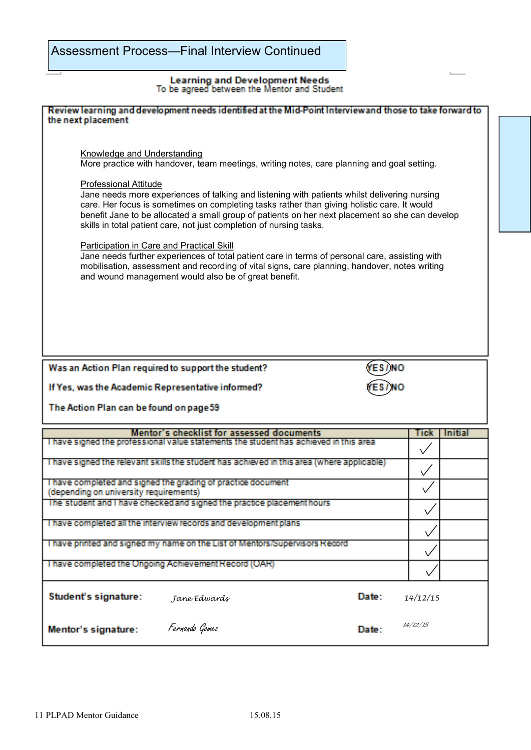## Learning and Development Needs<br>To be agreed between the Mentor and Student

| Review learning and development needs identified at the Mid-Point Interviewand those to take forward to<br>the next placement                                                                                                                                                                                                                                                                                                                                                                                                                                                                                                                                                                                                                                                                                                                     |              |                |  |  |  |
|---------------------------------------------------------------------------------------------------------------------------------------------------------------------------------------------------------------------------------------------------------------------------------------------------------------------------------------------------------------------------------------------------------------------------------------------------------------------------------------------------------------------------------------------------------------------------------------------------------------------------------------------------------------------------------------------------------------------------------------------------------------------------------------------------------------------------------------------------|--------------|----------------|--|--|--|
| <b>Knowledge and Understanding</b><br>More practice with handover, team meetings, writing notes, care planning and goal setting.<br><b>Professional Attitude</b><br>Jane needs more experiences of talking and listening with patients whilst delivering nursing<br>care. Her focus is sometimes on completing tasks rather than giving holistic care. It would<br>benefit Jane to be allocated a small group of patients on her next placement so she can develop<br>skills in total patient care, not just completion of nursing tasks.<br>Participation in Care and Practical Skill<br>Jane needs further experiences of total patient care in terms of personal care, assisting with<br>mobilisation, assessment and recording of vital signs, care planning, handover, notes writing<br>and wound management would also be of great benefit. |              |                |  |  |  |
|                                                                                                                                                                                                                                                                                                                                                                                                                                                                                                                                                                                                                                                                                                                                                                                                                                                   |              |                |  |  |  |
| Was an Action Plan required to support the student?                                                                                                                                                                                                                                                                                                                                                                                                                                                                                                                                                                                                                                                                                                                                                                                               |              |                |  |  |  |
| If Yes, was the Academic Representative informed?                                                                                                                                                                                                                                                                                                                                                                                                                                                                                                                                                                                                                                                                                                                                                                                                 |              |                |  |  |  |
| The Action Plan can be found on page 59                                                                                                                                                                                                                                                                                                                                                                                                                                                                                                                                                                                                                                                                                                                                                                                                           |              |                |  |  |  |
| Mentor's checklist for assessed documents                                                                                                                                                                                                                                                                                                                                                                                                                                                                                                                                                                                                                                                                                                                                                                                                         | Tick         | <b>Initial</b> |  |  |  |
| I have signed the professional value statements the student has achieved in this area                                                                                                                                                                                                                                                                                                                                                                                                                                                                                                                                                                                                                                                                                                                                                             |              |                |  |  |  |
| I have signed the relevant skills the student has achieved in this area (where applicable)                                                                                                                                                                                                                                                                                                                                                                                                                                                                                                                                                                                                                                                                                                                                                        |              |                |  |  |  |
| I have completed and signed the grading of practice document<br>(depending on university requirements)                                                                                                                                                                                                                                                                                                                                                                                                                                                                                                                                                                                                                                                                                                                                            |              |                |  |  |  |
| The student and I have checked and signed the practice placement hours                                                                                                                                                                                                                                                                                                                                                                                                                                                                                                                                                                                                                                                                                                                                                                            | $\checkmark$ |                |  |  |  |
| I have completed all the interview records and development plans                                                                                                                                                                                                                                                                                                                                                                                                                                                                                                                                                                                                                                                                                                                                                                                  |              |                |  |  |  |
| I have printed and signed my name on the List of Mentors/Supervisors Record                                                                                                                                                                                                                                                                                                                                                                                                                                                                                                                                                                                                                                                                                                                                                                       |              |                |  |  |  |
| I have completed the Ongoing Achievement Record (OAR)                                                                                                                                                                                                                                                                                                                                                                                                                                                                                                                                                                                                                                                                                                                                                                                             |              |                |  |  |  |
| Student's signature:<br>Date:<br>Jane Edwards                                                                                                                                                                                                                                                                                                                                                                                                                                                                                                                                                                                                                                                                                                                                                                                                     | 14/12/15     |                |  |  |  |
|                                                                                                                                                                                                                                                                                                                                                                                                                                                                                                                                                                                                                                                                                                                                                                                                                                                   |              |                |  |  |  |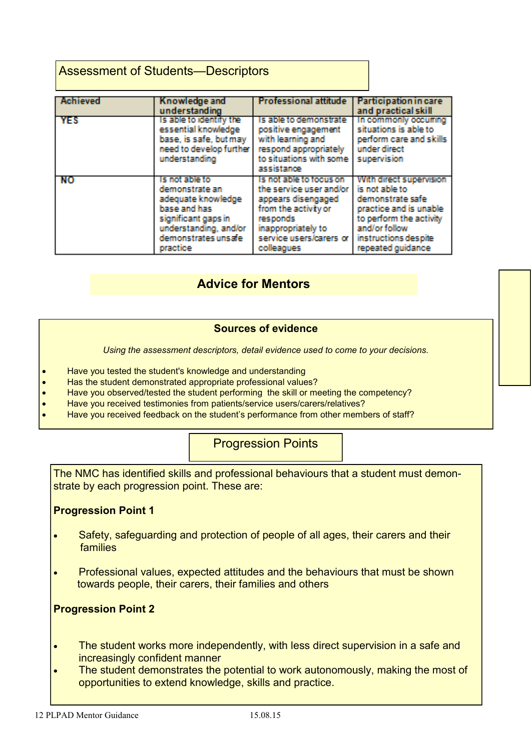## Assessment of Students—Descriptors

| Achieved | Knowledge and<br>understanding                                                                                                                            | <b>Professional attitude</b>                                                                                                                                                | Participation in care<br>and practical skill                                                                                                                                     |
|----------|-----------------------------------------------------------------------------------------------------------------------------------------------------------|-----------------------------------------------------------------------------------------------------------------------------------------------------------------------------|----------------------------------------------------------------------------------------------------------------------------------------------------------------------------------|
| YES      | Is able to identify the<br>essential knowledge<br>base, is safe, but may<br>need to develop further<br>understanding                                      | Is able to demonstrate<br>positive engagement<br>with learning and<br>respond appropriately<br>to situations with some<br>assistance                                        | In commonly occuring<br>situations is able to<br>perform care and skills<br>under direct<br>supervision                                                                          |
| -RO      | is not able to<br>demonstrate an<br>adequate knowledge<br>base and has<br>significant gaps in<br>understanding, and/or<br>demonstrates unsafe<br>practice | Is not able to focus on<br>the service user and/or<br>appears disengaged<br>from the activity or<br>responds<br>inappropriately to<br>service users/carers or<br>colleagues | With direct supervision<br>is not able to<br>demonstrate safe<br>practice and is unable<br>to perform the activity<br>and/or follow<br>instructions despite<br>repeated guidance |

## **Advice for Mentors**

#### **Sources of evidence**

*Using the assessment descriptors, detail evidence used to come to your decisions.* 

- Have you tested the student's knowledge and understanding
- Has the student demonstrated appropriate professional values?
- Have you observed/tested the student performing the skill or meeting the competency?
- Have you received testimonies from patients/service users/carers/relatives?
- Have you received feedback on the student's performance from other members of staff?

### Progression Points

The NMC has identified skills and professional behaviours that a student must demonstrate by each progression point. These are:

#### **Progression Point 1**

- Safety, safeguarding and protection of people of all ages, their carers and their **families**
- Professional values, expected attitudes and the behaviours that must be shown towards people, their carers, their families and others

### **Progression Point 2**

- The student works more independently, with less direct supervision in a safe and increasingly confident manner
- The student demonstrates the potential to work autonomously, making the most of opportunities to extend knowledge, skills and practice.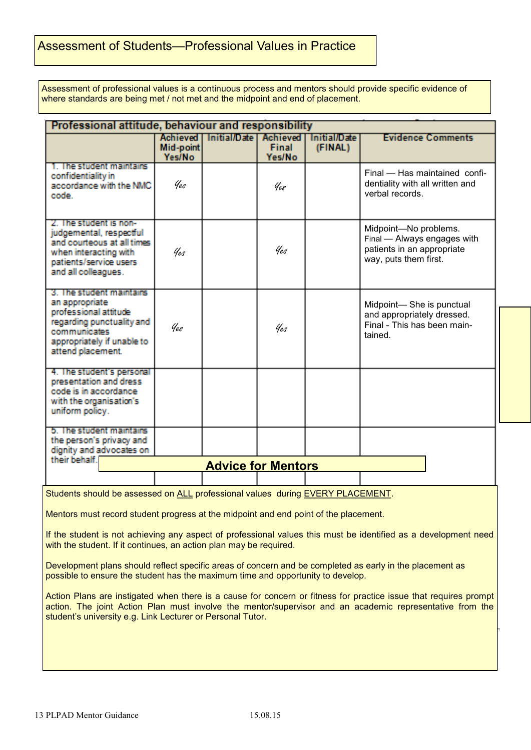## Assessment of Students—Professional Values in Practice

Assessment of professional values is a continuous process and mentors should provide specific evidence of where standards are being met / not met and the midpoint and end of placement.

| Professional attitude, behaviour and responsibility                                                                                                                 |                                               |                           |                                           |                         |                                                                                                             |  |
|---------------------------------------------------------------------------------------------------------------------------------------------------------------------|-----------------------------------------------|---------------------------|-------------------------------------------|-------------------------|-------------------------------------------------------------------------------------------------------------|--|
|                                                                                                                                                                     | <b>Achieved</b><br>Mid-point<br><b>Yes/No</b> | <b>Initial/Date</b>       | <b>Achieved</b><br><b>Final</b><br>Yes/No | Initial/Date<br>(FINAL) | <b>Evidence Comments</b>                                                                                    |  |
| 1 The student maintains<br>confidentiality in<br>accordance with the NMC<br>code :                                                                                  | Yes                                           |                           | Yes                                       |                         | Final - Has maintained confi-<br>dentiality with all written and<br>verbal records.                         |  |
| 7 The student is non-<br>judgemental, respectful<br>and courteous at all times<br>when interacting with<br>patients/service users<br>and all colleagues.            | Yes                                           |                           | Yes                                       |                         | Midpoint-No problems.<br>Final - Always engages with<br>patients in an appropriate<br>way, puts them first. |  |
| 3. The student maintains<br>an appropriate<br>professional attitude<br>regarding punctuality and<br>communicates<br>appropriately if unable to<br>attend placement. | Yes                                           |                           | Yes                                       |                         | Midpoint-She is punctual<br>and appropriately dressed.<br>Final - This has been main-<br>tained.            |  |
| 4. The student's personal<br>presentation and dress<br>code is in accordance<br>with the organisation's<br>uniform policy.                                          |                                               |                           |                                           |                         |                                                                                                             |  |
| 5. The student maintains<br>the person's privacy and<br>dignity and advocates on                                                                                    |                                               |                           |                                           |                         |                                                                                                             |  |
| their behalf.                                                                                                                                                       |                                               | <b>Advice for Mentors</b> |                                           |                         |                                                                                                             |  |
| Students should be assessed on ALL professional values during EVERY PLACEMENT.                                                                                      |                                               |                           |                                           |                         |                                                                                                             |  |
| Mentors must record student progress at the midpoint and end point of the placement.                                                                                |                                               |                           |                                           |                         |                                                                                                             |  |

If the student is not achieving any aspect of professional values this must be identified as a development need with the student. If it continues, an action plan may be required.

Development plans should reflect specific areas of concern and be completed as early in the placement as possible to ensure the student has the maximum time and opportunity to develop.

Action Plans are instigated when there is a cause for concern or fitness for practice issue that requires prompt action. The joint Action Plan must involve the mentor/supervisor and an academic representative from the student's university e.g. Link Lecturer or Personal Tutor.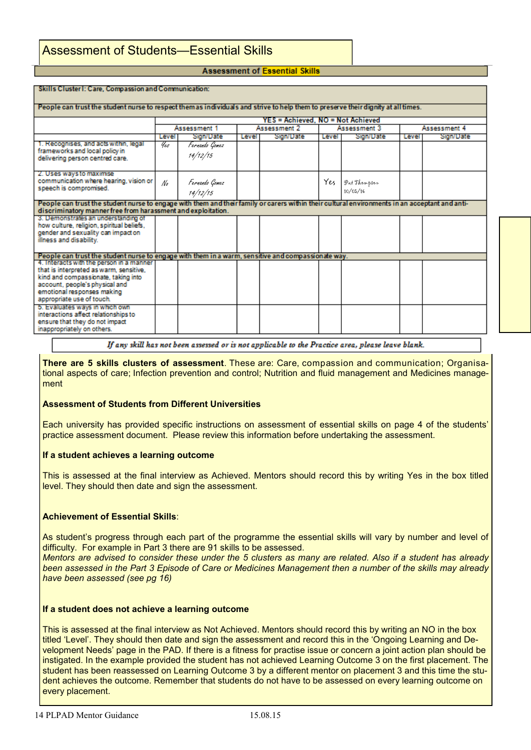#### **Assessment of Essential Skills**

| Skills Cluster I: Care, Compassion and Communication:                                                                                                                                                                   |                                   |                                              |       |           |       |                          |              |           |
|-------------------------------------------------------------------------------------------------------------------------------------------------------------------------------------------------------------------------|-----------------------------------|----------------------------------------------|-------|-----------|-------|--------------------------|--------------|-----------|
| People can trust the student nurse to respect them as individuals and strive to help them to preserve their dignity at all times.                                                                                       |                                   |                                              |       |           |       |                          |              |           |
|                                                                                                                                                                                                                         | YES = Achieved. NO = Not Achieved |                                              |       |           |       |                          |              |           |
|                                                                                                                                                                                                                         |                                   | Assessment 1<br>Assessment 2<br>Assessment 3 |       |           |       |                          | Assessment 4 |           |
|                                                                                                                                                                                                                         | Level                             | Sign/Date                                    | Level | Sign/Date | Level | Sign/Date                | Level        | Sign/Date |
| 1. Recognises, and acts within, legal<br>frameworks and local policy in<br>delivering person centred care.                                                                                                              | Yes                               | Fernando Gomez<br>14/12/15                   |       |           |       |                          |              |           |
| 2. Uses ways to maximise<br>communication where hearing, vision or<br>speech is compromised.                                                                                                                            | No                                | Fernando Gomez<br>14/12/15                   |       |           | Yes   | Pat Thompson<br>10/05/16 |              |           |
| People can trust the student nurse to engage with them and their family or carers within their cultural environments in an acceptant and anti-<br>discriminatory manner free from harassment and exploitation.          |                                   |                                              |       |           |       |                          |              |           |
| 3. Demonstrates an understanding of<br>how culture, religion, spiritual beliefs,<br>gender and sexuality can impact on<br>illness and disability.                                                                       |                                   |                                              |       |           |       |                          |              |           |
| People can trust the student nurse to engage with them in a warm, sensitive and compassionate way.                                                                                                                      |                                   |                                              |       |           |       |                          |              |           |
| 4. Interacts with the person in a manner<br>that is interpreted as warm, sensitive,<br>kind and compassionate, taking into<br>account, people's physical and<br>emotional responses making<br>appropriate use of touch. |                                   |                                              |       |           |       |                          |              |           |
| 5. Evaluates ways in which own<br>interactions affect relationships to<br>ensure that they do not impact<br>inappropriately on others.                                                                                  |                                   |                                              |       |           |       |                          |              |           |

If any skill has not been assessed or is not applicable to the Practice area, please leave blank.

**There are 5 skills clusters of assessment**. These are: Care, compassion and communication; Organisational aspects of care; Infection prevention and control; Nutrition and fluid management and Medicines management

#### **Assessment of Students from Different Universities**

Each university has provided specific instructions on assessment of essential skills on page 4 of the students' practice assessment document. Please review this information before undertaking the assessment.

#### **If a student achieves a learning outcome**

This is assessed at the final interview as Achieved. Mentors should record this by writing Yes in the box titled level. They should then date and sign the assessment.

#### **Achievement of Essential Skills**:

As student's progress through each part of the programme the essential skills will vary by number and level of difficulty. For example in Part 3 there are 91 skills to be assessed.

*Mentors are advised to consider these under the 5 clusters as many are related. Also if a student has already been assessed in the Part 3 Episode of Care or Medicines Management then a number of the skills may already have been assessed (see pg 16)*

#### **If a student does not achieve a learning outcome**

This is assessed at the final interview as Not Achieved. Mentors should record this by writing an NO in the box titled 'Level'. They should then date and sign the assessment and record this in the 'Ongoing Learning and Development Needs' page in the PAD. If there is a fitness for practise issue or concern a joint action plan should be instigated. In the example provided the student has not achieved Learning Outcome 3 on the first placement. The student has been reassessed on Learning Outcome 3 by a different mentor on placement 3 and this time the student achieves the outcome. Remember that students do not have to be assessed on every learning outcome on every placement.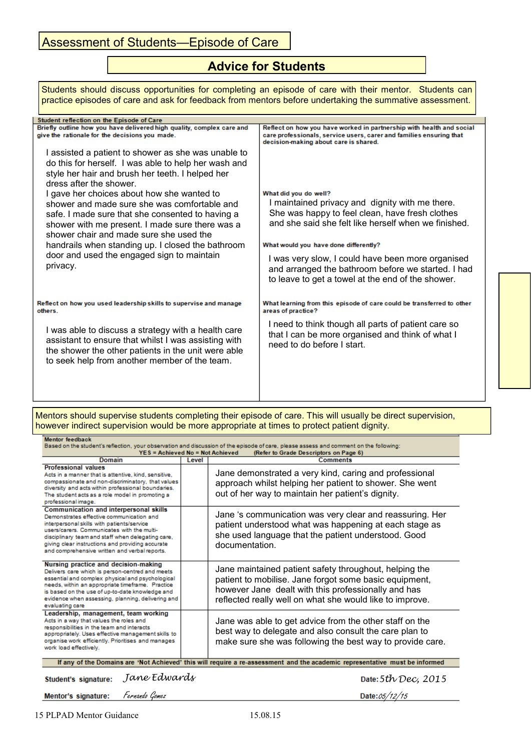## Assessment of Students-Episode of Care

## **Advice for Students**

| Students should discuss opportunities for completing an episode of care with their mentor. Students can<br>practice episodes of care and ask for feedback from mentors before undertaking the summative assessment.                                                                                                                                                                                                                                                                                                        |                                                                                                                                                                                                                                                                                                                                                                             |  |  |  |  |
|----------------------------------------------------------------------------------------------------------------------------------------------------------------------------------------------------------------------------------------------------------------------------------------------------------------------------------------------------------------------------------------------------------------------------------------------------------------------------------------------------------------------------|-----------------------------------------------------------------------------------------------------------------------------------------------------------------------------------------------------------------------------------------------------------------------------------------------------------------------------------------------------------------------------|--|--|--|--|
| Student reflection on the Episode of Care                                                                                                                                                                                                                                                                                                                                                                                                                                                                                  |                                                                                                                                                                                                                                                                                                                                                                             |  |  |  |  |
| Briefly outline how you have delivered high quality, complex care and<br>give the rationale for the decisions you made.<br>I assisted a patient to shower as she was unable to<br>do this for herself. I was able to help her wash and<br>style her hair and brush her teeth. I helped her<br>dress after the shower.<br>I gave her choices about how she wanted to<br>shower and made sure she was comfortable and<br>safe. I made sure that she consented to having a<br>shower with me present. I made sure there was a | Reflect on how you have worked in partnership with health and social<br>care professionals, service users, carer and families ensuring that<br>decision-making about care is shared.<br>What did you do well?<br>I maintained privacy and dignity with me there.<br>She was happy to feel clean, have fresh clothes<br>and she said she felt like herself when we finished. |  |  |  |  |
| shower chair and made sure she used the<br>handrails when standing up. I closed the bathroom<br>door and used the engaged sign to maintain<br>privacy.                                                                                                                                                                                                                                                                                                                                                                     | What would you have done differently?<br>I was very slow, I could have been more organised<br>and arranged the bathroom before we started. I had<br>to leave to get a towel at the end of the shower.                                                                                                                                                                       |  |  |  |  |
| Reflect on how you used leadership skills to supervise and manage<br>others.<br>I was able to discuss a strategy with a health care<br>assistant to ensure that whilst I was assisting with<br>the shower the other patients in the unit were able<br>to seek help from another member of the team.                                                                                                                                                                                                                        | What learning from this episode of care could be transferred to other<br>areas of practice?<br>I need to think though all parts of patient care so<br>that I can be more organised and think of what I<br>need to do before I start.                                                                                                                                        |  |  |  |  |

Mentors should supervise students completing their episode of care. This will usually be direct supervision, however indirect supervision would be more appropriate at times to protect patient dignity.

| <b>Mentor</b> feedback<br>Based on the student's reflection, your observation and discussion of the episode of care, please assess and comment on the following:<br>YES = Achieved No = Not Achieved<br>(Refer to Grade Descriptors on Page 6)                                                                                                  |                          |                                                                                                                                                                                                                                                                                                               |  |  |  |
|-------------------------------------------------------------------------------------------------------------------------------------------------------------------------------------------------------------------------------------------------------------------------------------------------------------------------------------------------|--------------------------|---------------------------------------------------------------------------------------------------------------------------------------------------------------------------------------------------------------------------------------------------------------------------------------------------------------|--|--|--|
| Domain                                                                                                                                                                                                                                                                                                                                          | <b>Comments</b><br>Level |                                                                                                                                                                                                                                                                                                               |  |  |  |
| <b>Professional values</b><br>Acts in a manner that is attentive, kind, sensitive,<br>compassionate and non-discriminatory, that values<br>diversity and acts within professional boundaries.<br>The student acts as a role model in promoting a<br>professional image.                                                                         |                          | Jane demonstrated a very kind, caring and professional<br>approach whilst helping her patient to shower. She went<br>out of her way to maintain her patient's dignity.                                                                                                                                        |  |  |  |
| <b>Communication and interpersonal skills</b><br>Demonstrates effective communication and<br>interpersonal skills with patients/service<br>users/carers. Communicates with the multi-<br>disciplinary team and staff when delegating care,<br>giving clear instructions and providing accurate<br>and comprehensive written and verbal reports. |                          | Jane 's communication was very clear and reassuring. Her<br>patient understood what was happening at each stage as<br>she used language that the patient understood. Good<br>documentation.                                                                                                                   |  |  |  |
| Nursing practice and decision-making<br>Delivers care which is person-centred and meets<br>essential and complex physical and psychological<br>needs, within an appropriate timeframe. Practice<br>is based on the use of up-to-date knowledge and<br>evidence when assessing, planning, delivering and<br>evaluating care                      |                          | Jane maintained patient safety throughout, helping the<br>patient to mobilise. Jane forgot some basic equipment,<br>however Jane dealt with this professionally and has<br>reflected really well on what she would like to improve.                                                                           |  |  |  |
| Leadership, management, team working<br>Acts in a way that values the roles and<br>responsibilities in the team and interacts<br>appropriately. Uses effective management skills to<br>organise work efficiently. Prioritises and manages<br>work load effectively.                                                                             |                          | Jane was able to get advice from the other staff on the<br>best way to delegate and also consult the care plan to<br>make sure she was following the best way to provide care.<br>If any of the Domains are 'Not Achieved' this will require a re-assessment and the academic representative must be informed |  |  |  |

| Student's signature: | Jane Edwards |
|----------------------|--------------|
|                      |              |

*5th Dec, 2015*

Mentor's signature: Fernando Gomez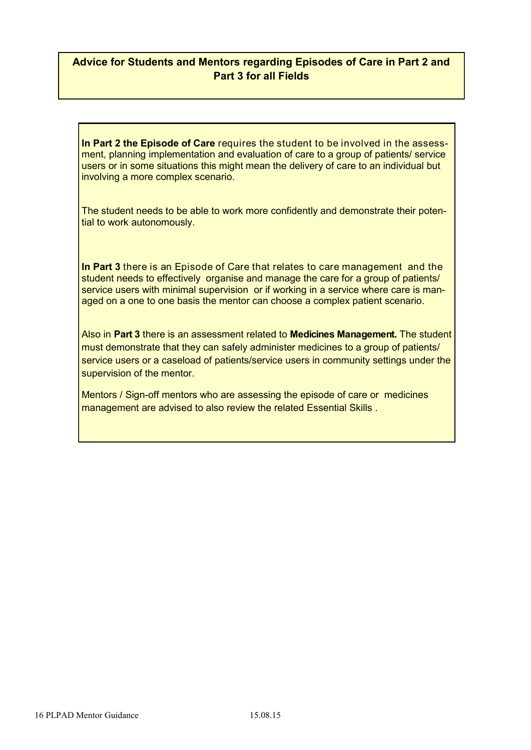### **Advice for Students and Mentors regarding Episodes of Care in Part 2 and Part 3 for all Fields**

**In Part 2 the Episode of Care** requires the student to be involved in the assessment, planning implementation and evaluation of care to a group of patients/ service users or in some situations this might mean the delivery of care to an individual but involving a more complex scenario.

The student needs to be able to work more confidently and demonstrate their potential to work autonomously.

**In Part 3** there is an Episode of Care that relates to care management and the student needs to effectively organise and manage the care for a group of patients/ service users with minimal supervision or if working in a service where care is managed on a one to one basis the mentor can choose a complex patient scenario.

Also in **Part 3** there is an assessment related to **Medicines Management.** The student must demonstrate that they can safely administer medicines to a group of patients/ service users or a caseload of patients/service users in community settings under the supervision of the mentor.

Mentors / Sign-off mentors who are assessing the episode of care or medicines management are advised to also review the related Essential Skills .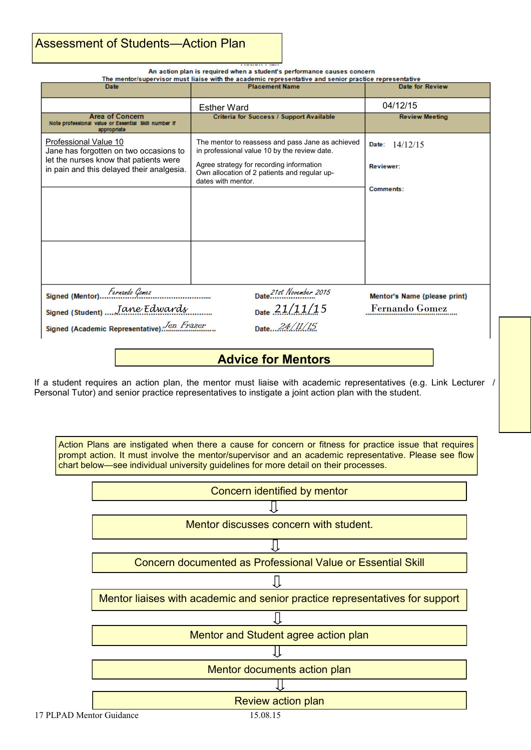## Assessment of Students—Action Plan

An action plan is required when a student's performance causes concern

| The mentor/supervisor must liaise with the academic representative and senior practice representative |  |  |
|-------------------------------------------------------------------------------------------------------|--|--|
|                                                                                                       |  |  |

| <b>Date</b>                                                                                   | <b>Placement Name</b>                                                                                          | Date for Review              |  |  |  |  |
|-----------------------------------------------------------------------------------------------|----------------------------------------------------------------------------------------------------------------|------------------------------|--|--|--|--|
|                                                                                               | <b>Esther Ward</b>                                                                                             | 04/12/15                     |  |  |  |  |
| <b>Area of Concern</b><br>Note professional value or Essential Skill number if<br>appropriate | <b>Criteria for Success / Support Available</b>                                                                | <b>Review Meeting</b>        |  |  |  |  |
| Professional Value 10<br>Jane has forgotten on two occasions to                               | The mentor to reassess and pass Jane as achieved<br>in professional value 10 by the review date.               | Date: $14/12/15$             |  |  |  |  |
| let the nurses know that patients were<br>in pain and this delayed their analgesia.           | Agree strategy for recording information<br>Own allocation of 2 patients and regular up-<br>dates with mentor. | <b>Reviewer:</b>             |  |  |  |  |
|                                                                                               |                                                                                                                | Comments:                    |  |  |  |  |
|                                                                                               |                                                                                                                |                              |  |  |  |  |
|                                                                                               |                                                                                                                |                              |  |  |  |  |
|                                                                                               |                                                                                                                |                              |  |  |  |  |
|                                                                                               |                                                                                                                |                              |  |  |  |  |
| Signed (Mentor). Fernando Gomez                                                               | Date 21st November 2015                                                                                        | Mentor's Name (please print) |  |  |  |  |
| Signed (Student)  Jane Edwards                                                                | Date $21/11/15$                                                                                                | <b>Fernando Gomez</b>        |  |  |  |  |
| Signed (Academic Representative) Jen Frazer                                                   | Date24.11.15.                                                                                                  |                              |  |  |  |  |
|                                                                                               | <b>Advice for Mentors</b>                                                                                      |                              |  |  |  |  |

If a student requires an action plan, the mentor must liaise with academic representatives (e.g. Link Lecturer / Personal Tutor) and senior practice representatives to instigate a joint action plan with the student.

Action Plans are instigated when there a cause for concern or fitness for practice issue that requires prompt action. It must involve the mentor/supervisor and an academic representative. Please see flow chart below—see individual university guidelines for more detail on their processes.

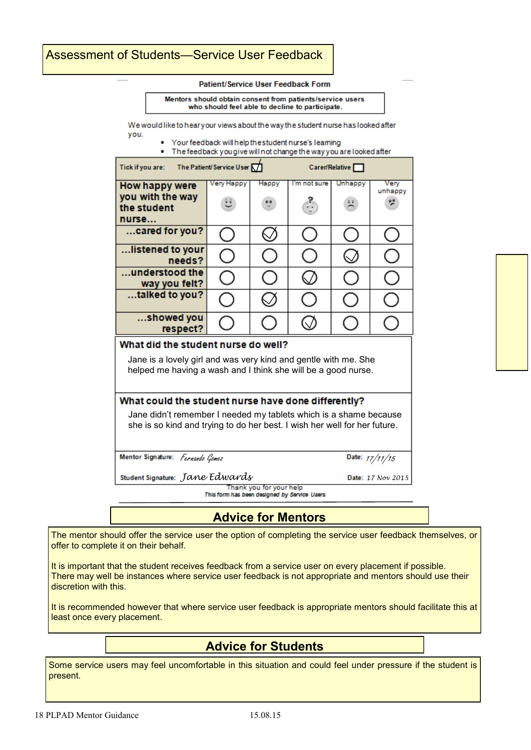## Assessment of Students—Service User Feedback

#### Patient/Service User Feedback Form

Mentors should obtain consent from patients/service users who should feel able to decline to participate.

We would like to hearyour views about the way the student nurse has looked after you.

Your feedback will help the student nurse's learning

• The feedback you give will not change the way you are looked after

| <b>Tick if you are:</b>                                                                                                                                                                               | The Patient/Service User $\nabla$ |       |              | Caren/Relative |                 |
|-------------------------------------------------------------------------------------------------------------------------------------------------------------------------------------------------------|-----------------------------------|-------|--------------|----------------|-----------------|
| How happy were<br>you with the way<br>the student<br>nurse                                                                                                                                            | Very Happy                        | Happy | I'm not sure | Unhappy        | Very<br>unhappy |
| cared for you?                                                                                                                                                                                        |                                   |       |              |                |                 |
| listened to your<br>needs?                                                                                                                                                                            | $\mathcal{L}$                     |       |              |                |                 |
| $\dots$ understood the $\,$<br>way you felt?                                                                                                                                                          |                                   |       |              |                |                 |
| talked to you?                                                                                                                                                                                        |                                   |       |              |                |                 |
| showed you<br>respect?                                                                                                                                                                                |                                   |       |              |                |                 |
| What did the student nurse do well?<br>Jane is a lovely girl and was very kind and gentle with me. She<br>helped me having a wash and I think she will be a good nurse.                               |                                   |       |              |                |                 |
| What could the student nurse have done differently?<br>Jane didn't remember I needed my tablets which is a shame because<br>she is so kind and trying to do her best. I wish her well for her future. |                                   |       |              |                |                 |
| Mentor Signature: Fernando Gomez<br>Date: 17/11/15                                                                                                                                                    |                                   |       |              |                |                 |

*Jane Edwards*

17/11/15

*17 Nov 2015*

Thank you for your help This form has been designed by Service Users

**Advice for Mentors**

The mentor should offer the service user the option of completing the service user feedback themselves, or offer to complete it on their behalf.

It is important that the student receives feedback from a service user on every placement if possible. There may well be instances where service user feedback is not appropriate and mentors should use their discretion with this.

It is recommended however that where service user feedback is appropriate mentors should facilitate this at least once every placement.

## **Advice for Students**

Some service users may feel uncomfortable in this situation and could feel under pressure if the student is present.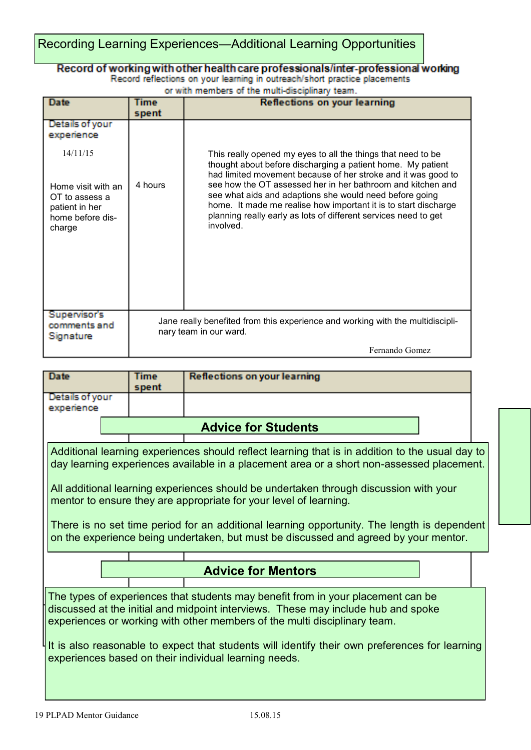## Recording Learning Experiences—Additional Learning Opportunities

## Record of working with other health care professionals/inter-professional working<br>Record reflections on your learning in outreach/short practice placements

an<br>Historia  $\bar{a}$ 

| or with members of the multi-disciplinary team.                                      |             |                                                                                                                                                                                                                                                                           |  |  |
|--------------------------------------------------------------------------------------|-------------|---------------------------------------------------------------------------------------------------------------------------------------------------------------------------------------------------------------------------------------------------------------------------|--|--|
| Date                                                                                 | <b>Time</b> | <b>Reflections on your learning</b>                                                                                                                                                                                                                                       |  |  |
|                                                                                      | spent       |                                                                                                                                                                                                                                                                           |  |  |
| Details of your<br>experience                                                        |             |                                                                                                                                                                                                                                                                           |  |  |
| 14/11/15                                                                             |             | This really opened my eyes to all the things that need to be<br>thought about before discharging a patient home. My patient<br>had limited movement because of her stroke and it was good to                                                                              |  |  |
| Home visit with an<br>OT to assess a<br>patient in her<br>home before dis-<br>charge | 4 hours     | see how the OT assessed her in her bathroom and kitchen and<br>see what aids and adaptions she would need before going<br>home. It made me realise how important it is to start discharge<br>planning really early as lots of different services need to get<br>involved. |  |  |
| <b>Supervisor's</b><br>comments and<br><b>Signature</b>                              |             | Jane really benefited from this experience and working with the multidiscipli-<br>nary team in our ward.                                                                                                                                                                  |  |  |
|                                                                                      |             | Fernando Gomez                                                                                                                                                                                                                                                            |  |  |

| <b>Date</b>                                                                                                                                                                                                                                                                                                                                                                                                                                                                                                                                       |  | Time  | <b>Reflections on your learning</b> |  |
|---------------------------------------------------------------------------------------------------------------------------------------------------------------------------------------------------------------------------------------------------------------------------------------------------------------------------------------------------------------------------------------------------------------------------------------------------------------------------------------------------------------------------------------------------|--|-------|-------------------------------------|--|
|                                                                                                                                                                                                                                                                                                                                                                                                                                                                                                                                                   |  | spent |                                     |  |
| Details of your                                                                                                                                                                                                                                                                                                                                                                                                                                                                                                                                   |  |       |                                     |  |
| experience                                                                                                                                                                                                                                                                                                                                                                                                                                                                                                                                        |  |       |                                     |  |
|                                                                                                                                                                                                                                                                                                                                                                                                                                                                                                                                                   |  |       | <b>Advice for Students</b>          |  |
| Additional learning experiences should reflect learning that is in addition to the usual day to<br>day learning experiences available in a placement area or a short non-assessed placement.<br>All additional learning experiences should be undertaken through discussion with your<br>mentor to ensure they are appropriate for your level of learning.<br>There is no set time period for an additional learning opportunity. The length is dependent<br>on the experience being undertaken, but must be discussed and agreed by your mentor. |  |       |                                     |  |
|                                                                                                                                                                                                                                                                                                                                                                                                                                                                                                                                                   |  |       | <b>Advice for Mentors</b>           |  |
| The types of experiences that students may benefit from in your placement can be<br>discussed at the initial and midpoint interviews. These may include hub and spoke<br>experiences or working with other members of the multi disciplinary team.<br>It is also reasonable to expect that students will identify their own preferences for learning<br>experiences based on their individual learning needs.                                                                                                                                     |  |       |                                     |  |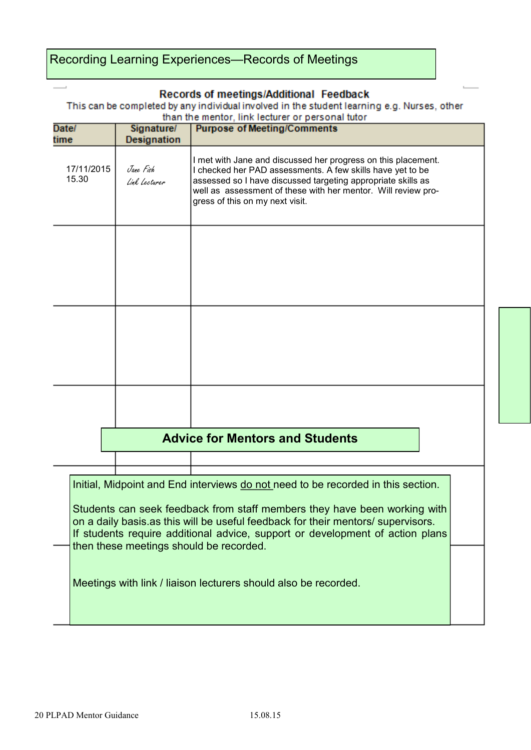## Recording Learning Experiences—Records of Meetings

#### Records of meetings/Additional Feedback

This can be completed by any individual involved in the student learning e.g. Nurses, other than the mentor, link lecturer or nersonal tutor

| Date/               | Signature/                 | than the memor, inny lecturer or personal tutor<br><b>Purpose of Meeting/Comments</b>                                                                                                                                                                                                                                                                                                                                                            |  |
|---------------------|----------------------------|--------------------------------------------------------------------------------------------------------------------------------------------------------------------------------------------------------------------------------------------------------------------------------------------------------------------------------------------------------------------------------------------------------------------------------------------------|--|
| time                | <b>Designation</b>         |                                                                                                                                                                                                                                                                                                                                                                                                                                                  |  |
| 17/11/2015<br>15.30 | Jane Fish<br>Link Lecturer | I met with Jane and discussed her progress on this placement.<br>I checked her PAD assessments. A few skills have yet to be<br>assessed so I have discussed targeting appropriate skills as<br>well as assessment of these with her mentor. Will review pro-<br>gress of this on my next visit.                                                                                                                                                  |  |
|                     |                            |                                                                                                                                                                                                                                                                                                                                                                                                                                                  |  |
|                     |                            |                                                                                                                                                                                                                                                                                                                                                                                                                                                  |  |
|                     |                            |                                                                                                                                                                                                                                                                                                                                                                                                                                                  |  |
|                     |                            | <b>Advice for Mentors and Students</b>                                                                                                                                                                                                                                                                                                                                                                                                           |  |
|                     |                            | Initial, Midpoint and End interviews do not need to be recorded in this section.<br>Students can seek feedback from staff members they have been working with<br>on a daily basis as this will be useful feedback for their mentors/ supervisors.<br>If students require additional advice, support or development of action plans<br>then these meetings should be recorded.<br>Meetings with link / liaison lecturers should also be recorded. |  |